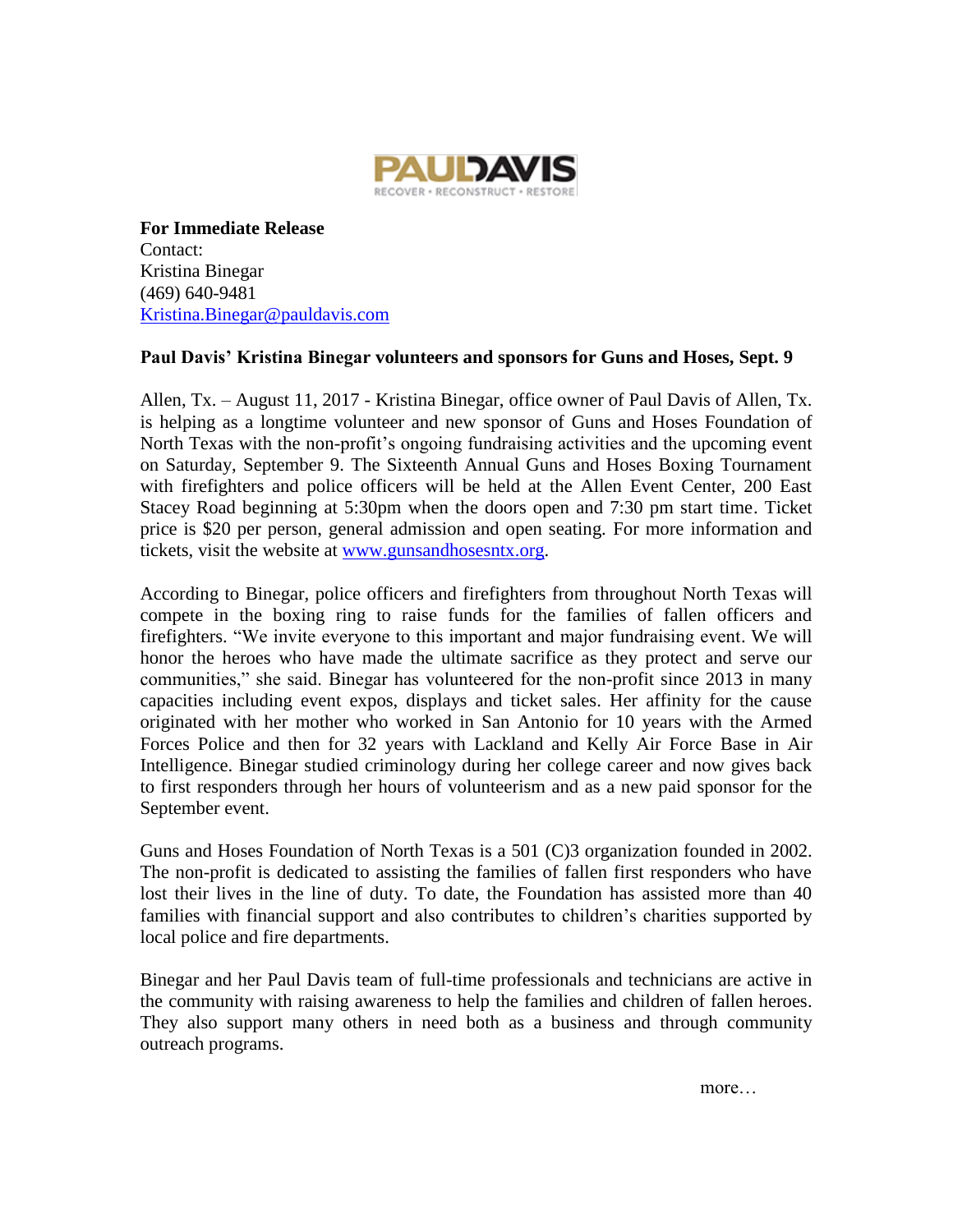

**For Immediate Release** Contact: Kristina Binegar (469) 640-9481 [Kristina.Binegar@pauldavis.com](mailto:Kristina.Binegar@pauldavis.com)

## **Paul Davis' Kristina Binegar volunteers and sponsors for Guns and Hoses, Sept. 9**

Allen, Tx. – August 11, 2017 - Kristina Binegar, office owner of Paul Davis of Allen, Tx. is helping as a longtime volunteer and new sponsor of Guns and Hoses Foundation of North Texas with the non-profit's ongoing fundraising activities and the upcoming event on Saturday, September 9. The Sixteenth Annual Guns and Hoses Boxing Tournament with firefighters and police officers will be held at the Allen Event Center, 200 East Stacey Road beginning at 5:30pm when the doors open and 7:30 pm start time. Ticket price is \$20 per person, general admission and open seating. For more information and tickets, visit the website at [www.gunsandhosesntx.org.](http://www.gunsandhosesntx.org/)

According to Binegar, police officers and firefighters from throughout North Texas will compete in the boxing ring to raise funds for the families of fallen officers and firefighters. "We invite everyone to this important and major fundraising event. We will honor the heroes who have made the ultimate sacrifice as they protect and serve our communities," she said. Binegar has volunteered for the non-profit since 2013 in many capacities including event expos, displays and ticket sales. Her affinity for the cause originated with her mother who worked in San Antonio for 10 years with the Armed Forces Police and then for 32 years with Lackland and Kelly Air Force Base in Air Intelligence. Binegar studied criminology during her college career and now gives back to first responders through her hours of volunteerism and as a new paid sponsor for the September event.

Guns and Hoses Foundation of North Texas is a 501 (C)3 organization founded in 2002. The non-profit is dedicated to assisting the families of fallen first responders who have lost their lives in the line of duty. To date, the Foundation has assisted more than 40 families with financial support and also contributes to children's charities supported by local police and fire departments.

Binegar and her Paul Davis team of full-time professionals and technicians are active in the community with raising awareness to help the families and children of fallen heroes. They also support many others in need both as a business and through community outreach programs.

more…